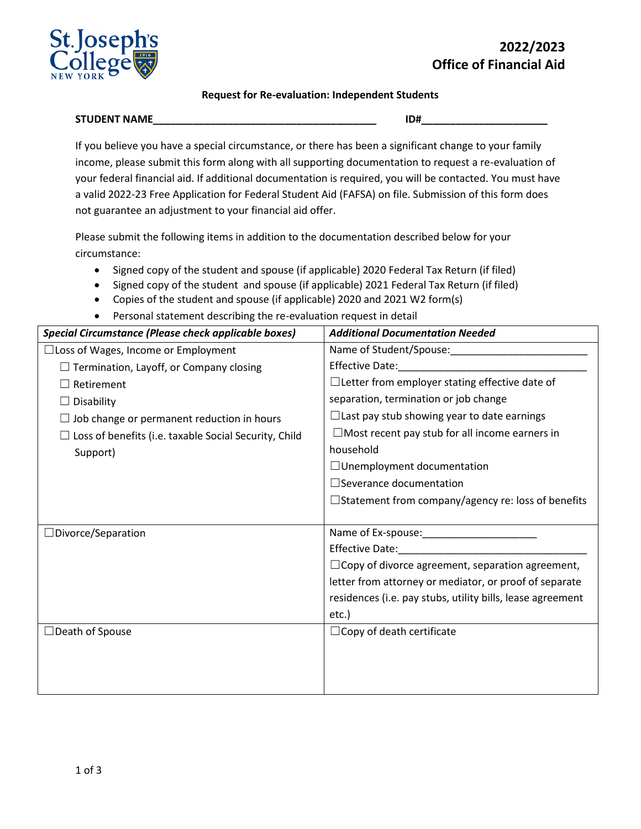

## **2022/2023 Office of Financial Aid**

## **Request for Re-evaluation: Independent Students**

## **STUDENT NAME\_\_\_\_\_\_\_\_\_\_\_\_\_\_\_\_\_\_\_\_\_\_\_\_\_\_\_\_\_\_\_\_\_\_\_\_\_\_\_ ID#\_\_\_\_\_\_\_\_\_\_\_\_\_\_\_\_\_\_\_\_\_\_**

If you believe you have a special circumstance, or there has been a significant change to your family income, please submit this form along with all supporting documentation to request a re-evaluation of your federal financial aid. If additional documentation is required, you will be contacted. You must have a valid 2022-23 Free Application for Federal Student Aid (FAFSA) on file. Submission of this form does not guarantee an adjustment to your financial aid offer.

Please submit the following items in addition to the documentation described below for your circumstance:

- Signed copy of the student and spouse (if applicable) 2020 Federal Tax Return (if filed)
- Signed copy of the student and spouse (if applicable) 2021 Federal Tax Return (if filed)
- Copies of the student and spouse (if applicable) 2020 and 2021 W2 form(s)
- Personal statement describing the re-evaluation request in detail

| <b>Special Circumstance (Please check applicable boxes)</b>              | <b>Additional Documentation Needed</b>                     |  |
|--------------------------------------------------------------------------|------------------------------------------------------------|--|
| $\Box$ Loss of Wages, Income or Employment                               |                                                            |  |
| $\Box$ Termination, Layoff, or Company closing                           |                                                            |  |
| $\Box$ Retirement                                                        | $\Box$ Letter from employer stating effective date of      |  |
| Disability                                                               | separation, termination or job change                      |  |
| $\Box$ Job change or permanent reduction in hours                        | $\Box$ Last pay stub showing year to date earnings         |  |
| $\Box$ Loss of benefits (i.e. taxable Social Security, Child<br>Support) | $\Box$ Most recent pay stub for all income earners in      |  |
|                                                                          | household                                                  |  |
|                                                                          | $\Box$ Unemployment documentation                          |  |
|                                                                          | $\Box$ Severance documentation                             |  |
|                                                                          | $\Box$ Statement from company/agency re: loss of benefits  |  |
|                                                                          |                                                            |  |
| $\square$ Divorce/Separation                                             |                                                            |  |
|                                                                          |                                                            |  |
|                                                                          | $\Box$ Copy of divorce agreement, separation agreement,    |  |
|                                                                          | letter from attorney or mediator, or proof of separate     |  |
|                                                                          | residences (i.e. pay stubs, utility bills, lease agreement |  |
|                                                                          | etc.)                                                      |  |
| $\Box$ Death of Spouse                                                   | $\Box$ Copy of death certificate                           |  |
|                                                                          |                                                            |  |
|                                                                          |                                                            |  |
|                                                                          |                                                            |  |
|                                                                          |                                                            |  |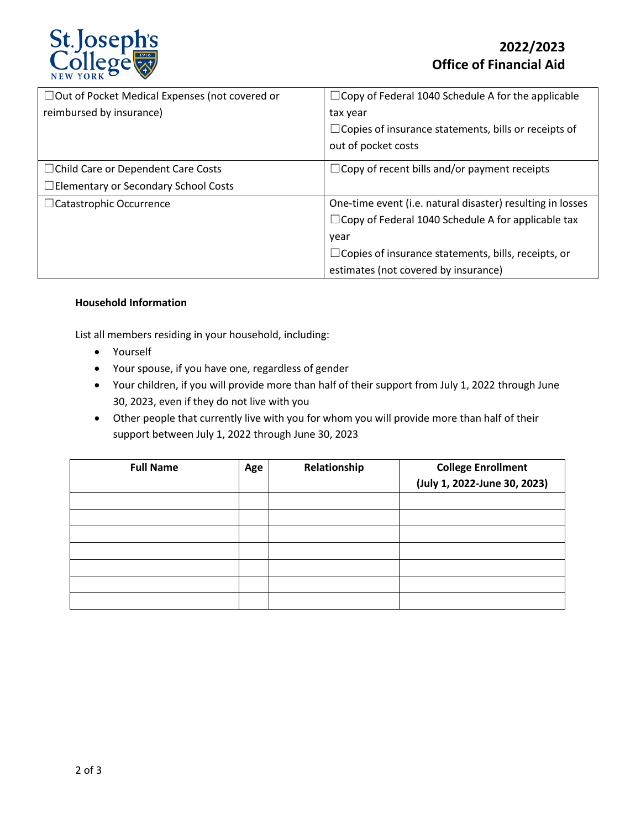

| □ Out of Pocket Medical Expenses (not covered or | $\Box$ Copy of Federal 1040 Schedule A for the applicable   |  |
|--------------------------------------------------|-------------------------------------------------------------|--|
| reimbursed by insurance)                         | tax year                                                    |  |
|                                                  | $\Box$ Copies of insurance statements, bills or receipts of |  |
|                                                  | out of pocket costs                                         |  |
| $\Box$ Child Care or Dependent Care Costs        | $\Box$ Copy of recent bills and/or payment receipts         |  |
| $\Box$ Elementary or Secondary School Costs      |                                                             |  |
| $\Box$ Catastrophic Occurrence                   | One-time event (i.e. natural disaster) resulting in losses  |  |
|                                                  | $\Box$ Copy of Federal 1040 Schedule A for applicable tax   |  |
|                                                  | year                                                        |  |
|                                                  | $\Box$ Copies of insurance statements, bills, receipts, or  |  |
|                                                  | estimates (not covered by insurance)                        |  |

## **Household Information**

List all members residing in your household, including:

- Yourself
- Your spouse, if you have one, regardless of gender
- Your children, if you will provide more than half of their support from July 1, 2022 through June 30, 2023, even if they do not live with you
- Other people that currently live with you for whom you will provide more than half of their support between July 1, 2022 through June 30, 2023

| <b>Full Name</b> | Age | Relationship | <b>College Enrollment</b>    |
|------------------|-----|--------------|------------------------------|
|                  |     |              | (July 1, 2022-June 30, 2023) |
|                  |     |              |                              |
|                  |     |              |                              |
|                  |     |              |                              |
|                  |     |              |                              |
|                  |     |              |                              |
|                  |     |              |                              |
|                  |     |              |                              |